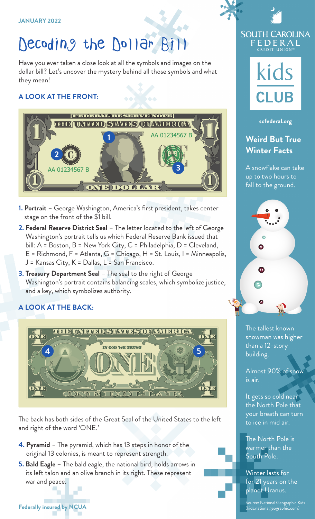## Decoding the Dollar Bi

Have you ever taken a close look at all the symbols and images on the dollar bill? Let's uncover the mystery behind all those symbols and what they mean!

#### **A LOOK AT THE FRONT:**



- **1. Portrait** George Washington, America's first president, takes center stage on the front of the \$1 bill.
- **2. Federal Reserve District Seal** The letter located to the left of George Washington's portrait tells us which Federal Reserve Bank issued that bill: A = Boston, B = New York City, C = Philadelphia, D = Cleveland, E = Richmond, F = Atlanta, G = Chicago, H = St. Louis, I = Minneapolis, J = Kansas City, K = Dallas, L = San Francisco.
- **3. Treasury Department Seal** The seal to the right of George Washington's portrait contains balancing scales, which symbolize justice, and a key, which symbolizes authority.

#### **A LOOK AT THE BACK:**



The back has both sides of the Great Seal of the United States to the left and right of the word 'ONE.'

- **4. Pyramid** The pyramid, which has 13 steps in honor of the original 13 colonies, is meant to represent strength.
- **5. Bald Eagle** The bald eagle, the national bird, holds arrows in its left talon and an olive branch in its right. These represent war and peace.

### **SOUTH CAROLINA** FEDERAL



**[scfederal.org](https://www.scfederal.org/)**

#### **Weird But True Winter Facts**

A snowflake can take up to two hours to fall to the ground.



The tallest known snowman was higher than a 12-story building.

Almost 90% of snow is air.

It gets so cold near the North Pole that your breath can turn to ice in mid air.

#### The North Pole is warmer than the South Pole.

#### Winter lasts for for 21 years on the planet Uranus.

Source: National Geographic Kids (kids.nationalgeographic.com)

#### **Federally insured by NCUA**